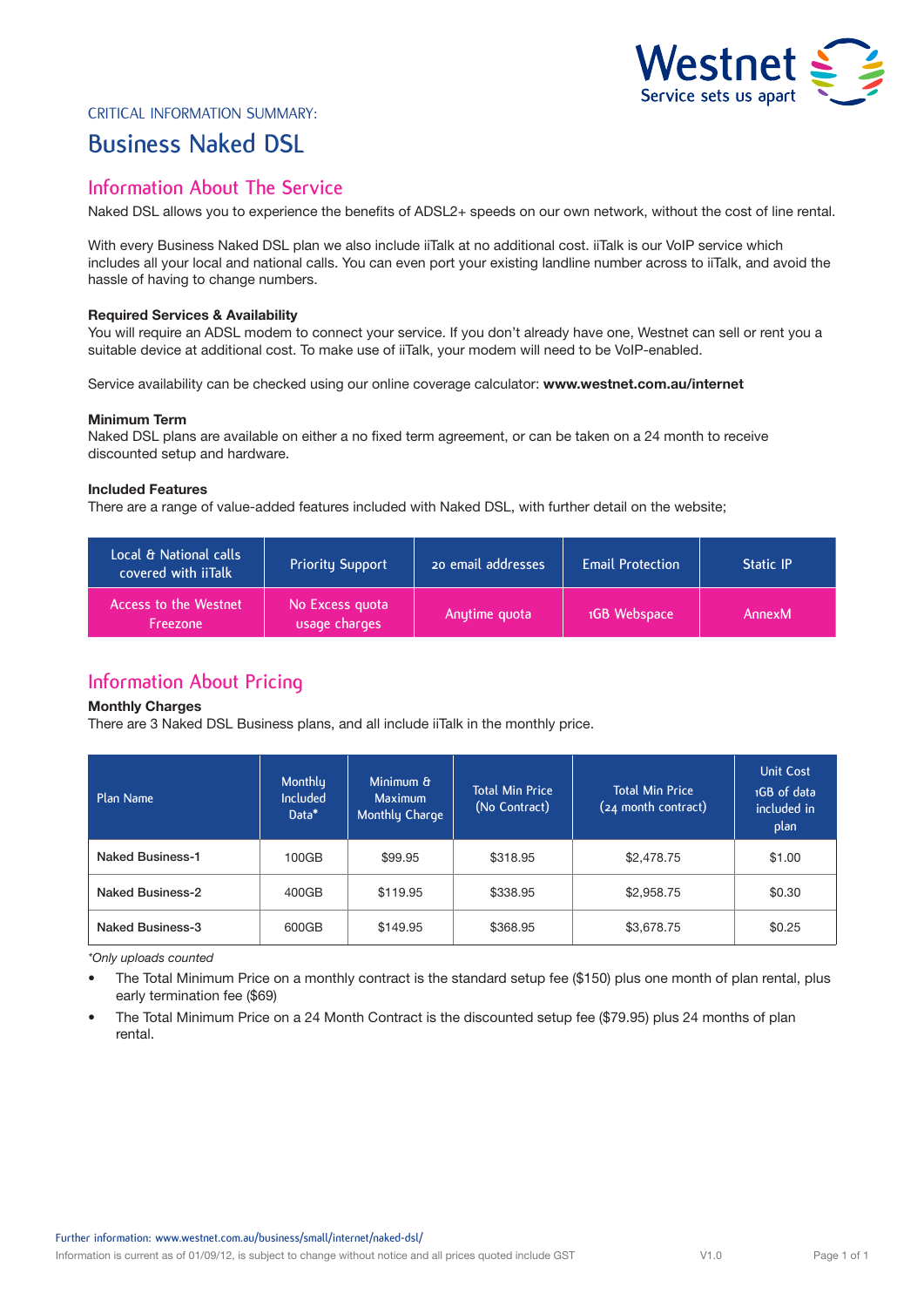

### CRITICAL INFORMATION SUMMARY:

# **Business Naked DSL**

# **Information About The Service**

Naked DSL allows you to experience the benefits of ADSL2+ speeds on our own network, without the cost of line rental.

With every Business Naked DSL plan we also include iiTalk at no additional cost. iiTalk is our VoIP service which includes all your local and national calls. You can even port your existing landline number across to iiTalk, and avoid the hassle of having to change numbers.

#### **Required Services & Availability**

You will require an ADSL modem to connect your service. If you don't already have one, Westnet can sell or rent you a suitable device at additional cost. To make use of iiTalk, your modem will need to be VoIP-enabled.

Service availability can be checked using our online coverage calculator: **www.westnet.com.au/internet**

#### **Minimum Term**

Naked DSL plans are available on either a no fixed term agreement, or can be taken on a 24 month to receive discounted setup and hardware.

### **Included Features**

There are a range of value-added features included with Naked DSL, with further detail on the website;

| Local & National calls<br>covered with iiTalk | <b>Priority Support</b>          | 20 email addresses | <b>Email Protection</b> | <b>Static IP</b> |
|-----------------------------------------------|----------------------------------|--------------------|-------------------------|------------------|
| Access to the Westnet<br>Freezone             | No Excess quota<br>usage charges | Anytime quota      | 1GB Webspace            | AnnexM           |

# **Information About Pricing**

#### **Monthly Charges**

There are 3 Naked DSL Business plans, and all include iiTalk in the monthly price.

| Plan Name               | Monthly<br><b>Included</b><br>Data* | Minimum &<br><b>Maximum</b><br>Monthly Charge | <b>Total Min Price</b><br>(No Contract) | <b>Total Min Price</b><br>(24 month contract) | <b>Unit Cost</b><br>1GB of data<br>included in<br>plan |
|-------------------------|-------------------------------------|-----------------------------------------------|-----------------------------------------|-----------------------------------------------|--------------------------------------------------------|
| <b>Naked Business-1</b> | 100GB                               | \$99.95                                       | \$318.95                                | \$2,478.75                                    | \$1.00                                                 |
| <b>Naked Business-2</b> | 400GB                               | \$119.95                                      | \$338.95                                | \$2,958.75                                    | \$0.30                                                 |
| Naked Business-3        | 600GB                               | \$149.95                                      | \$368.95                                | \$3,678.75                                    | \$0.25                                                 |

*\*Only uploads counted*

- The Total Minimum Price on a monthly contract is the standard setup fee (\$150) plus one month of plan rental, plus early termination fee (\$69)
- The Total Minimum Price on a 24 Month Contract is the discounted setup fee (\$79.95) plus 24 months of plan rental.